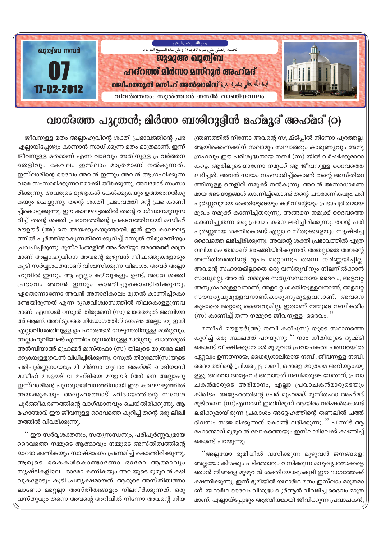

## വാഗ്ദത്ത പുത്രൻ; മിർസാ ബശീറുദ്ദീൻ മഹ്മൂദ് അഹ്മദ് (റ)

ന്ത്രണത്തിൽ നിന്നോ അവന്റെ സൃഷ്ടിപ്പിൽ നിന്നോ പുറത്തല്ല. ആയിരക്കണക്കിന് സലാമും സ്വലാത്തും കാരുണ്യവും അനു ഗ്രഹവും ഈ പരിശുദ്ധനായ നബി (സ) യിൽ വർഷിക്കുമാറാ കട്ടെ. ആരിലൂടെയാണോ നമുക്ക് ആ ജീവനുള്ള ദൈവത്തെ ലഭിച്ചത്. അവൻ സ്വയം സംസാരിച്ച്കൊണ്ട് തന്റെ അസ്തിത്വ ത്തിനുള്ള തെളിവ് നമുക്ക് നൽകുന്നു. അവൻ അസാധാരണ മായ അടയാളങ്ങൾ കാണിച്ച്കൊണ്ട് തന്റെ പൗരാണികവും,പരി പൂർണ്ണവുമായ ശക്തിയുടെയും കഴിവിന്റെയും പ്രഭാപൂരിതമായ മുഖം നമുക്ക് കാണിച്ച്തരുന്നു. അങ്ങനെ നമുക്ക് ദൈവത്തെ കാണിച്ചുതന്ന ഒരു പ്രവാചകനെ ലഭിച്ചിരിക്കുന്നു. തന്റെ പരി പൂർണ്ണമായ ശക്തികൊണ്ട് എല്ലാ വസ്തുക്കളെയും സൃഷ്ടിച്ച ദൈവത്തെ ലഭിച്ചിരിക്കുന്നു. അവന്റെ ശക്തി പ്രഭാവത്തിൽ എത്ര വലിയ മഹത്വമാണ് അടങ്ങിയിരിക്കുന്നത്. അതല്ലാതെ അവന്റെ അസ്തിത്വത്തിന്റെ രൂപം മറ്റൊന്നും തന്നെ നിർണ്ണയിച്ചില്ല. അവന്റെ സഹായമില്ലാതെ ഒരു വസ്തുവിനും നിലനിൽക്കാൻ സാധ്യമല്ല. അവൻ! നമ്മുടെ സത്യസന്ധനായ ദൈവം, അളവറ്റ അനുഗ്രഹമുള്ളവനാണ്, അളവറ്റ ശക്തിയുള്ളവനാണ്, അളവറ്റ സൗന്ദര്യവുമുള്ളവനാണ്,കാരുണ്യമുള്ളവനാണ്, അവനെ കൂടാതെ മറ്റൊരു ദൈവവുമില്ല. ഇതാണ് നമ്മുടെ നബികരീം (സ) കാണിച്ച് തന്ന നമ്മുടെ ജീവനുള്ള ദൈവം. ''

മസീഹ് മൗഊദ്(അ) നബി കരീം(സ) യുടെ സ്ഥാനത്തെ കുറിച്ച് ഒരു സ്ഥലത്ത് പറയുന്നു: '' നാം നീതിയുടെ ദൃഷ്ടി കൊണ്ട് വീക്ഷിക്കുമ്പോൾ മുഴുവൻ പ്രവാചകത്വ പരമ്പരയിൽ ഏറ്റവും ഉന്നതനായ, ധൈര്യശാലിയായ നബി, ജീവനുള്ള നബി, ദൈവത്തിന്റെ പ്രിയപ്പെട്ട നബി, ഒരാളെ മാത്രമെ അറിയുകയു ള്ളു. അഥവാ അദ്ദേഹം! അതായത് നബിമാരുടെ നേതാവ്, പ്രവാ ചകൻമാരുടെ അഭിമാനം, എല്ലാ പ്രവാചകൻമാരുടെയും കിരീടം. അദ്ദേഹത്തിന്റെ പേര് മുഹമ്മദ് മുസ്തഫാ അഹ്മദ് മുജ്തബാ (സ)എന്നാണ്.ഇതിന്മുമ്പ് ആയിരം വർഷൾകൊണ്ട് ലഭിക്കുമായിരുന്ന പ്രകാശം അദ്ദേഹത്തിന്റെ തണലിൽ പത്ത് ദിവസം സഞ്ചരിക്കുന്നത് കൊണ്ട് ലഭിക്കുന്നു. '' പിന്നീട് ആ മഹാത്മാവ് മുഴുവൻ ലോകത്തെയും ഇസ്ലാമിലേക്ക് ക്ഷണിച്ച് കൊണ്ട് പറയുന്നു:

..<br>"അല്ലയോ ഭൂമിയിൽ വസിക്കുന്ന മുഴുവൻ ജനങ്ങളെ! അല്ലയോ കിഴക്കും പടിഞ്ഞാറും വസിക്കുന്ന മനുഷ്യാത്മാക്കളെ ഞാൻ നിങ്ങളെ മുഴുവൻ ശക്തിയോടുംകൂടി ഈ ഭാഗത്തേക്ക് ക്ഷണിക്കുന്നു. ഇന്ന് ഭൂമിയിൽ യഥാർഥ മതം ഇസ്ലാം മാത്രമാ ണ്. യഥാർഥ ദൈവം വിശുദ്ധ ഖുർആൻ വിവരിച്ച ദൈവം മാത്ര മാണ്. എല്ലായ്പ്പോഴും ആത്മീയമായി ജീവിക്കുന്ന പ്രവാചകൻ

ജീവനുള്ള മതം അല്ലാഹുവിന്റെ ശക്തി പ്രഭാവത്തിന്റെ പ്രഭ എല്ലായിപ്പോഴും കാണാൻ സാധിക്കുന്ന മതം മാത്രമാണ്. ഇന്ന് ജീവനുള്ള മതമാണ് എന്ന വാദവും അതിനുള്ള പ്രവർത്തന തെളിവും കേവലം ഇസ്ലാം മാത്രമാണ് നൽകുന്നത്. ഇസ്ലാമിന്റെ ദൈവം അവൻ ഇന്നും അവൻ ആഗ്രഹിക്കുന്ന വരെ സംസാരിക്കുന്നവാരാക്കി തീർക്കുന്നു. അവരോട് സംസാ രിക്കുന്നു. അവരുടെ ദുആകൾ കേൾക്കുകയും ഉത്തരംനൽകു കയും ചെയ്യുന്നു. തന്റെ ശക്തി പ്രഭാവത്തി ന്റെ പ്രഭ കാണി ച്ച്കൊടുക്കുന്നു. ഈ കാലഘട്ടത്തിൽ തന്റെ വാഗ്ദ്ധാനമുനുസ രിച്ച് തന്റെ ശക്തി പ്രഭാവത്തിന്റെ പ്രകടനത്തിനായി മസീഹ് മൗഊദ് (അ) നെ അയക്കുകയുണ്ടായി. ഇത് ഈ കാലഘട്ട ത്തിൽ പൂർത്തിയാകുന്നതിനെക്കുറിച്ച് റസൂൽ തിരുമേനിയും പ്രവചിച്ചിരുന്നു. മുസ്ലിംങ്ങളിൽ അഹ്മദിയ്യാ ജമാഅത്ത് മാത്ര മാണ് അല്ലാഹുവിനെ അവന്റെ മുഴുവൻ സിഫത്തുകളോടും കൂടി സർവ്വശക്തനാണ് വിശ്വസിക്കുന്ന വിഭാഗം. അവർ അല്ലാ ഹുവിൽ ഇന്നും ആ എല്ലാ കഴിവുകളും ഉണ്ട്, അതേ ശക്തി പ്രഭാവം അവൻ ഇന്നും കാണിച്ചുകൊണ്ടിരിക്കുന്നു. ഏതൊന്നാണോ അവൻ അനാദികാലം മുതൽ കാണിച്ച്കൊ ണ്ടേയിരുന്നത് എന്ന ദൃഢവിശ്വാസത്തിൽ നിലകൊള്ളുന്നവ രാണ്. എന്നാൽ റസൂൽ തിരുമേനി (സ) ഖാത്തമുൽ അമ്പിയാ അ് ആണ്. അവിടുത്തെ നിയോഗത്തിന് ശേഷം അല്ലാഹു ഇനി എല്ലാവിധത്തിലുള്ള ഉപഹാരങ്ങൾ നേടുന്നതിനുള്ള മാർഗ്ഗവും, അല്ലാഹുവിലേക്ക് എത്തിചേരുന്നതിനുള്ള മാർഗ്ഗവും ഖാത്തമുൽ അൻമ്പിയാഅ് മുഹമ്മദ് മുസ്തഫാ (സ) യിലൂടെ മാത്രമേ ലഭി ക്കുകയുള്ളുവെന്ന് വിധിച്ചിരിക്കുന്നു. റസുൽ തിരുമേനി(സ)യുടെ പരിപൂർണ്ണനായപ്രേമി മിർസാ ഗുലാം അഹ്മദ് ഖാദിയാനി മസീഹ് മൗഊദ് വ മഹ്ദിയെ മൗഊദ് (അ) നെ അല്ലാഹു ഇസ്ലാമിന്റെ പുനരുജ്ജിവനത്തിനായി ഈ കാലഘട്ടത്തിൽ അയക്കുകയും അദ്ദേഹത്തോട് ഹിദായത്തിന്റെ സന്ദേശ പൂർത്തീകരണത്തിന്റെ വാഗ്ദ്ധാനവും ചെയ്തിരിക്കുന്നു. ആ മഹാത്മാവ് ഈ ജീവനുള്ള ദൈവത്തെ കുറിച്ച് തന്റെ ഒരു ലിഖി തത്തിൽ വിവരിക്കുന്നു.

'' ഈ സർവ്വശക്തനും, സത്യസന്ധനും, പരിപൂർണ്ണവുമായ ദൈവത്തെ നമ്മുടെ ആത്മാവും നമ്മുടെ അസ്തിത്വത്തിന്റെ ഓരോ കണികയും സാഷ്ടാംഗം പ്രണമിച്ച് കൊണ്ടിരിക്കുന്നു. ആരുടെ കൈകൾകൊണ്ടാണോ ഓരോ ആത്മാവും സൃഷ്ടികളിലെ ഓരോ കണികയും അവയുടെ മുഴുവൻ കഴി വുകളോടും കൂടി പ്രതൃക്ഷമായത്. ആരുടെ അസ്തിത്വത്താ ലാണോ മറ്റെല്ലാ അസ്തിത്വങ്ങളും നിലനിർക്കുന്നത്, ഒരു വസ്തുവും തന്നെ അവന്റെ അറിവിൽ നിന്നോ അവന്റെ നിയ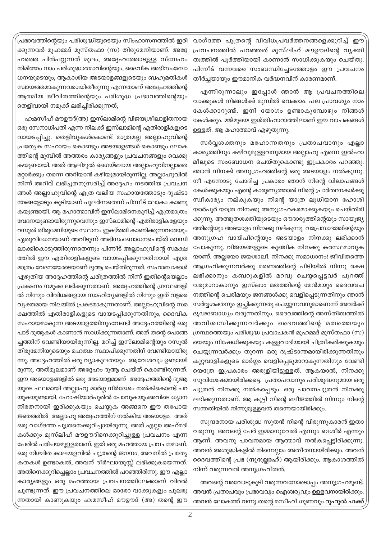പ്രഭാവത്തിന്റെയും പരിശുദ്ധിയുടെയും സിംഹാസനത്തിൽ ഇരി ക്കുന്നവർ മുഹമ്മദ് മുസ്തഫാ (സ) തിരുമേനിയാണ്. അദ്ദേ ഹത്തെ പിൻപറ്റുന്നത് മൂലം, അദ്ദേഹത്തോടുള്ള സ്നേഹം നിമിത്തം നാം പരിശുദ്ധാത്മാവിന്റെയും, ദൈവിക അഭിസംബോ ധനയുടെയും, ആകാശിയ അടയാളങ്ങളുടെയും ബഹുമതികൾ സ്വായത്തമാകുന്നവരായിതീരുന്നു എന്നതാണ് അദ്ദേഹത്തിന്റെ ആത്മീയ ജീവിതത്തിന്റെയും പരിശുദ്ധ പ്രഭാവത്തിന്റെയും തെളിവായി നമുക്ക് ലഭിച്ചിരിക്കുന്നത്,

ഹ:മസീഹ് മൗഊദ്(അ) ഇസ്ലാമിന്റെ വിജയശ്രീലാളിതനായ ഒരു സേനാധിപതി എന്ന നിലക്ക് ഇസ്ലാമിന്റെ എതിരാളികളുടെ വായടപ്പിച്ചു. തെളിവുകൾകൊണ്ട് മാത്രമല്ല അല്ലാഹുവിന്റെ പ്രത്യേക സഹായം കൊണ്ടും അടയാളങ്ങൾ കൊണ്ടു<mark>ം</mark> ലോക ത്തിന്റെ മുമ്പിൽ അത്തരം കാര്യങ്ങളും പ്രവചനങ്ങളും വെക്കു കയുണ്ടായി. അത് ആലിമുൽ ഗൈയ്ബായ അല്ലാഹുവിനല്ലാതെ മറ്റാർക്കും തന്നെ അറിയാൻ കഴിയുമായിരുന്നില്ല. അല്ലാഹുവിൽ നിന്ന് അറിവ് ലഭിച്ചതനുസരിച്ച് അദ്ദേഹം നടത്തിയ പ്രവചന ങ്ങൾ അല്ലാഹുവിന്റെ എത്ര വലിയ സഹായത്തോടും ദൃഷ്ടാ ന്തങ്ങളോടും കുടിയാണ് പുലർന്നതെന്ന് പിന്നീട് ലോകം കാണു കയുണ്ടായി. ആ മഹാത്മാവിന് ഇസ്ലാമിനെകുറിച്ച് എത്രമാത്രം വേദനയുണ്ടായിരുന്നുവെന്നും ഇസ്ലാമിന്റെ എതിരാളികളേയും റസുൽ തിരുമേനിയുടെ സ്ഥാനം ഇകഴ്ത്തി കാണിക്കുന്നവരേയും ഏതുവിധേനയാണ് അവിടുന്ന് അഭിസംബോധനചെയ്ത് മനസി ലാക്കികൊടുത്തിരുന്നതെന്നും പിന്നീട് അല്ലാഹുവിന്റെ സമക്ഷ ത്തിൽ ഈ എതിരാളികളുടെ വായടപ്പിക്കുന്നതിനായി എത്ര മാത്രം വേദനയോടെയാണ് ദുആ ചെയ്തിരുന്നത്. സഹാബാക്കൾ എഴുതിയ അദ്ദേഹത്തിന്റെ ചരിത്രത്തിൽ നിന്ന് ഇതിന്റെയെല്ലാം പ്രകടനം നമുക്ക ലഭിക്കുന്നതാണ്. അദ്ദേഹത്തിന്റെ ഗ്രന്ഥങ്ങളി ൽ നിന്നും വിവിധങ്ങളായ സാഹിത്യങ്ങളിൽ നിന്നും ഇത് വളരെ വ്യക്തമായ നിലയിൽ പ്രകടമാകുന്നതാണ്. അല്ലാഹുവിന്റെ സമ ക്ഷത്തിൽ എതിരാളികളുടെ വായടപ്പിക്കുന്നതിനും, ദൈവിക സഹായമാകുന്ന അടയാളത്തിനുംവേണ്ടി അദ്ദേഹത്തിന്റെ ഒരു പാട് ദുആകൾ കാണാൻ സാധിക്കുന്നതാണ്. അത് തന്റെ പൊങ്ങ ച്ചത്തിന് വേണ്ടിയായിരുന്നില്ല. മറിച്ച് ഇസ്ലാമിന്റെയും റസൂൽ തിരുമേനിയുടെയും മഹത്വം സ്ഥാപിക്കുന്നതിന് വേണ്ടിയായിരു ന്നു. അദ്ദേഹത്തിൽ ഒരു വ്യാകുലതയും ആവേശവും ഉണ്ടായി രുന്നു. അത്മൂലമാണ് അദ്ദേഹം ദുആ ചെയ്ത് കൊണ്ടിരുന്നത്. ഈ അടയാളങ്ങളിൽ ഒരു അടയാളമാണ് അദ്ദേഹത്തിന്റെ ദുആ യുടെ ഫലമായി അല്ലാഹു മാർഗ്ഗ നിർദേശം നൽകികൊണ്ട് പറ യുകയുണ്ടായി. ഹോഷിയാർപുരിൽ പോവുകയുംഅവിടെ ധ്യാന നിരതനായി ഇരിക്കുകയും ചെയ്യുക അങ്ങനെ ഈ തപോയ ജ്ഞത്തിൽ അല്ലാഹു അദ്ദേഹത്തിന് നൽകിയ അടയാളം. അത് ഒരു വാഗ്ദത്ത പുത്രനെക്കുറിച്ചായിരുന്നു. അത് എല്ലാ അഹ്മദി കൾക്കും മുസ്ലിഹ് മൗഊദിനെക്കുറിച്ചുള്ള പ്രവചനം എന്ന പേരിൽ പരിചയമുള്ളതാണ്. ഇത് ഒരു മഹത്തായ പ്രവചനമാണ്. ഒരു നിശ്ചിത കാലയളവിൽ പുത്രന്റെ ജനനം, അവനിൽ പ്രത്യേ കതകൾ ഉണ്ടാകൽ, അവന് ദീർഘായുസ്സ് ലഭിക്കുകയെന്നത്. അതിനെക്കുറിച്ചെല്ലാം പ്രവചനത്തിൽ പറഞ്ഞിരിന്നു. ഈ എല്ലാ കാര്യങ്ങളും ഒരു മഹത്തായ പ്രവചനത്തിലേക്കാണ് വിരൽ ചൂണ്ടുന്നത്. ഈ പ്രവചനത്തിലെ ഓരോ വാക്കുകളും പുലരു ന്നതായി കാണുകയും ഹ:മസീഹ് മൗഊദ് (അ) തന്റെ ഈ

വാഗ്ദത്ത പുത്രന്റെ വിവിധപ്രവർത്തനങ്ങളെക്കുറിച്ച് ഈ പ്രവചനത്തിൽ പറഞ്ഞത് മുസ്ലിഹ് മൗഊദിന്റെ വൃക്തി ത്വത്തിൽ പൂർത്തിയായി കാണാൻ സാധിക്കുകയും ചെയ്തു. പിന്നീട് വന്നവരെ സംബന്ധിച്ചേടത്തോളം ഈ പ്രവചനം തീർച്ചയായും ഈമാനിക വർദ്ധനവിന് കാരണമാണ്.

എന്നിരുന്നാലും ഇപ്പോൾ ഞാൻ ആ പ്രവചനത്തിലെ വാക്കുകൾ നിങ്ങൾക്ക് മുമ്പിൽ വെക്കാം. പല പ്രാവശ്യം നാം കേൾക്കാറുണ്ട്. ഇനി യോഗം ഉണ്ടാകുമ്പോഴും നിങ്ങൾ കേൾക്കും. മജ്മുയെ ഇശ്തിഹാറാത്തിലാണ് ഈ വാചകങ്ങൾ ഉള്ളത്. ആ മഹാത്മാവ് എഴുതുന്നു.

സർവൃശക്തനും മഹോന്നതനും പ്രതാപവാനും എല്ലാ കാര്യത്തിനും കഴിവുമുള്ളവനുമായ അല്ലാഹു എന്നെ ഇൽഹാ മീലൂടെ സംബോധന ചെയ്തുകൊണ്ടു ഇപ്രകാരം പറഞ്ഞു. ഞാൻ നിനക്ക് അനുഗ്രഹത്തിന്റെ ഒരു അടയാളം നൽകുന്നു. നീ എന്നോടു ചോദിച്ച പ്രകാരം ഞാൻ നിന്റെ വിലാപങ്ങൾ കേൾക്കുകയും എന്റെ കാരുണ്യത്താൽ നിന്റെ പ്രാർത്ഥനകൾക്കു സ്ഥീകാര്യം നല്കുകയും നിന്റെ യാത്ര ലുധിയാന ഹോശി യാർപൂർ യാത്ര നിനക്കു അനുഗ്രഹകരമാക്കുകയും ചെയ്തിരി ക്കുന്നു. അത്ഭുതശക്തിയുടെയും ഔദാര്യത്തിന്റെയും സായൂജ്യ ത്തിന്റെയും അടയാളം നിനക്കു നല്കുന്നു. വരപ്രസാദത്തിന്റെയും അനുഗ്രഹ വായ്പിന്റെയും അടയാളം നിനക്കു ലഭിക്കാൻ പോകുന്നു. വിജയങ്ങളുടെ കുഞ്ചിക നിനക്കു കരസ്ഥമാവുക യാണ്. അല്ലയോ ജയശാലീ. നിനക്കു സമാധാനം! ജീവിതത്തെ ആഗ്രഹിക്കുന്നവർക്കു മരണത്തിന്റെ പിടിയിൽ നിന്നു രക്ഷ ലഭിക്കാനും കബറുകളിൽ മറവു ചെയ്യപ്പെട്ടവർ പുറത്ത് വരുമാറാകാനും ഇസ്ലാം മതത്തിന്റെ മേൻമയും ദൈവവച നത്തിന്റെ പെരിമയും ജനങ്ങൾക്കു വെളിപ്പെടുന്നതിനും ഞാൻ സർവ്വശക്തനും ഇച്ഛിക്കുന്നതു ചെയ്യുന്നവനുമാണെന്ന് അവർക്ക് ദൃഢബോധ്യം വരുന്നതിനും. ദൈവത്തിന്റെ അസ്തിത്വത്തിൽ അവിശ്വസിക്കുന്നവർക്കും ദൈവത്തിന്റെ മതത്തെയും ഗ്രന്ഥത്തെയും പരിശുദ്ധ പ്രവാചകൻ മുഹമ്മദ് മുസ്തഫാ (സ) യെയും നിഷേധിക്കുകയും കള്ളവാദിയായി ചിത്രീകരിക്കുകയും ചെയ്യുന്നവർക്കും തുറന്ന ഒരു ദൃഷ്ടാന്തമായിരിക്കുന്നതിനും കുറ്റവാളികളുടെ മാർഗ്ഗം വെളിപ്പെടുമാറാകുന്നതിനും വേണ്ടി യെത്രേ ഇപ്രകാരം അരുളിയിട്ടുള്ളത്. ആകയാൽ, നിനക്കു സുവിശേഷമായിരിക്കട്ടെ. പ്രതാപവാനും പരിശുദ്ധനുമായ ഒരു പുത്രൻ നിനക്കു നൽകപ്പെടും. ഒരു പാവനപുത്രൻ നിനക്കു ലഭിക്കുന്നതാണ്. ആ കുട്ടി നിന്റെ ബീജത്തിൽ നിന്നും നിന്റെ സന്തതിയിൽ നിന്നുമുള്ളവൻ തന്നെയായിരിക്കും.

സുന്ദരനായ പരിശുദ്ധ സുതൻ നിന്റെ വിരുന്നുകാരൻ ഇതാ വരുന്നു. അവന്റെ പേർ ഇമ്മാനുവേൽ എന്നും ബശീർ എന്നും ആണ്. അവനു പാവനമായ ആത്മാവ് നൽകപ്പെട്ടിരിക്കുന്നു. അവൻ അശുദ്ധികളിൽ നിന്നെല്ലാം അതീതനായിരിക്കും. അവൻ ദൈവത്തിന്റെ പ്രഭ (നൂറുല്ലാഹ്) ആയിരിക്കും. ആകാശത്തിൽ നിന്ന് വരുന്നവൻ അനുഗ്രഹീതൻ.

അവന്റെ വരവോടുകൂടി വരുന്നവനോടൊപ്പം അനുഗ്രഹമുണ്ട്. അവൻ പ്രതാപവും പ്രഭാവവും ഐശ്വര്യവും ഉള്ളവനായിരിക്കും. അവൻ ലോകത്ത് വന്നു തന്റെ മസീഹീ ഗുണവും റൂഹുൽ ഹക്ക്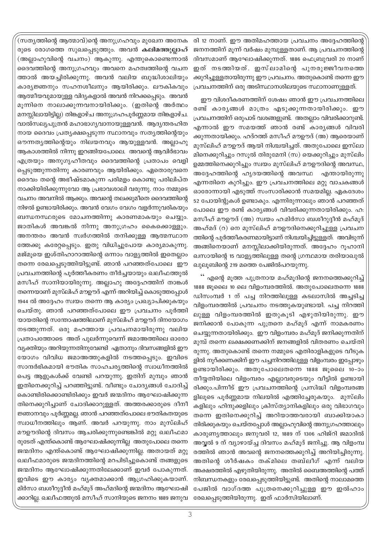രി 12 നാണ്. ഈ അതിമഹത്തായ പ്രവചനം അദ്ദേഹത്തിന്റെ ജനനത്തിന് മൂന്ന് വർഷം മുമ്പുള്ളതാണ്. ആ പ്രവചനത്തിന്റെ ദിവസമാണ് ആഘോഷിക്കുന്നത്. 1886 ഫെബ്രുവരി 20 നാണ് ഇത് നടത്തിയത്. ഇസ്ലാമിന്റെ പുനരുജ്ജീവനത്തെ ക്കുറിച്ചുള്ളതായിരുന്നു ഈ പ്രവചനം. അതുകൊണ്ട് തന്നെ ഈ പ്രവചനത്തിന് ഒരു അടിസ്ഥാനശിലയുടെ സ്ഥാനാണുള്ളത്.

ഈ വിശദീകരണത്തിന് ശേഷം ഞാൻ ഈ പ്രവചനത്തിലെ രണ്ട് കാര്യങ്ങൾ മാത്രം എടുക്കുന്നതായിരിക്കും. ഈ പ്രവചനത്തിന് ഒരുപാട് വശങ്ങളുണ്ട്. അതല്ലാം വിവരിക്കാറുണ്ട്. എന്നാൽ ഈ സമയത്ത് ഞാൻ രണ്ട് കാര്യങ്ങൾ വിവരി ക്കുന്നതായിക്കും. ഹദ്റത്ത് മസീഹ് മൗഊദ് (അ) ആരെയാണ് മുസ്ലിഹ് മൗഊദ് ആയി നിശ്ചയിച്ചത്. അതുപോലെ ഇസ്ലാ മിനെക്കുറിച്ചും റസൂൽ തിരുമേനി (സ) യെക്കുറിച്ചും മുസ്ലിം ഉമ്മത്തിനെക്കുറിച്ചും സ്വയം മുസ്ലിഹ് മൗഊദിന്റെ അവസ്ഥ, അദ്ദേഹത്തിന്റെ ഹൃദയത്തിന്റെ അവസ്ഥ എന്തായിരുന്നു എന്നതിനെ കുറിച്ചും. ഈ പ്രവചനത്തിലെ മറ്റു വാചകങ്ങൾ ഓരോന്നായി എടുത്ത് സംസാരിക്കാൻ സമയമില്ല. ഏകദേശം 52 പോയിന്റുകൾ ഉണ്ടാകും. എന്നിരുന്നാലും ഞാൻ പറഞ്ഞത് പോലെ ഈ രണ്ട് കാര്യങ്ങൾ വിവരിക്കുന്നതായിരിക്കും. ഹ: മസീഹ് മൗഊദ് (അ) സ്വയം ഹ:മിർസാ ബശീറുദ്ദീൻ മഹ്മുദ് അഹ്മദ് (റ) നെ മുസ്ലിഹ് മൗഊദിനെക്കുറിച്ചുള്ള പ്രവചന ത്തിന്റെ പുർത്തീകരണമായിട്ടാണ് നിശ്ചയിച്ചിട്ടുള്ളത്. അവിടുന്ന് അങ്ങിനെയാണ് മനസ്സിലാക്കിയിരുന്നത്. അദ്ദേഹം റൂഹാനി ഖസായിന്റെ 15 വാള്യത്തിലുള്ള തന്റെ ഗ്രന്ഥമായ തരിയാഖുൽ ഖുലുബിന്റെ 219 മത്തെ പേജിൽപറയുന്നു.

'' എന്റെ മൂത്ത പുത്രനായ മഹ്മൂദിന്റെ ജനനത്തെക്കുറിച്ച് 1888 ജൂലൈ 10 ലെ വിളംമ്പരത്തിൽ. അതുപോലെതന്നെ 1888 ഡിസംമ്പർ 1 ന് പച്ച നിറത്തിലുള്ള കടലാസിൽ അച്ചടിച്ച വിളംമ്പരത്തിൽ പ്രവചനം നടത്തുകയുണ്ടായി. പച്ച നിറത്തി ലുള്ള വിളംമ്പരത്തിൽ ഇതുകൂടി എഴുതിയിരുന്നു. ഈ ജനിക്കാൻ പോകുന്ന പുത്രനെ മഹ്മൂദ് എന്ന് നാമകരണം ചെയ്യുന്നതായിരിക്കും. ഈ വിളംമ്പരം മഹ്മൂദ് ജനിക്കുന്നതിന് മുമ്പ് തന്നെ ലക്ഷക്കണക്കിന് ജനങ്ങളിൽ വിതരണം ചെയ്തി രുന്നു. അതുകൊണ്ട് തന്നെ നമ്മുടെ എതിരാളികളുടെ വീടുക ളിൽ നൂറ്ക്കണക്കിന് ഈ പച്ചനിറത്തിലുള്ള വിളംമ്പരം ഇപ്പോഴും ഉണ്ടായിരിക്കും. അതുപോലെതന്നെ 1888 ജൂലൈ 10-ാം തീയ്യതിയിലെ വിളംമ്പരം എല്ലാവരുടെയും വീട്ടിൽ ഉണ്ടായി രിക്കും.പിന്നീട് ഈ പ്രവചനത്തിന്റെ പ്രസിദ്ധി വിളംമ്പരങ്ങ ളിലുടെ പൂർണ്ണമായ നിലയിൽ എത്തിച്ചേരുകയും. മുസ്ലിം കളിലും ഹിന്ദുക്കളിലും ക്രിസ്ത്യാനികളിലും ഒരു വിഭാഗവും തന്നെ ഇതിനെക്കുറിച്ച് അറിയാത്തവരായി ബാക്കിയാകാ തിരിക്കുകയും ചെയ്തപ്പോൾ അല്ലാഹുവിന്റെ അനുഗ്രഹത്താലും കാരുണ്യത്താലും ജനുവരി 12, 1889 ന് 1306 ഹിജ്റി ജമാദിൽ അവ്വൽ 9 ന് വ്യാഴായ്ച്ച ദിവസം മഹ്മൂദ് ജനിച്ചു. ആ വിളംമ്പ രത്തിൽ ഞാൻ അവന്റെ ജനനത്തെക്കുറിച്ച് അറിയിച്ചിരുന്നു. അതിന്റെ ശീർഷകം തക്മിലെ തബ്ലീഗ് എന്ന് വലിയ അക്ഷരത്തിൽ എഴുതിയിരുന്നു. അതിൽ ബൈഅത്തിന്റെ പത്ത് നിബന്ധനകളും രേഖപ്പെടുത്തിയിട്ടുണ്ട്. അതിന്റെ നാലാമത്തെ പേജിൽ വാഗ്ദത്ത പുത്രനെക്കുറിച്ചുള്ള ഈ ഇൽഹാം രേഖപ്പെടുത്തിയിരുന്നു. ഇത് ഫാർസിയിലാണ്.

(സത്യത്തിന്റെ ആത്മാവ്)ന്റെ അനുഗ്രഹവും മുഖേന അനേക രുടെ രോഗത്തെ സുഖപ്പെടുത്തും. അവൻ <mark>കലിമത്തുല്ലാഹ്</mark> (അല്ലാഹുവിന്റെ വചനം) ആകുന്നു. എന്തുകൊണ്ടെന്നാൽ ദൈവത്തിന്റെ അനുഗ്രഹവും അവനെ മഹത്വത്തിന്റെ വചന ത്താൽ അയച്ചിരിക്കുന്നു. അവൻ വലിയ ബുദ്ധിശാലിയും കാര്യജ്ഞനും സഹനശീലനും ആയിരിക്കും. ലൗകികവും ആത്മീയവുമായുള്ള വിദ്യകളാൽ അവൻ നിറക്കപ്പെടും. അവൻ മൂന്നിനെ നാലാക്കുന്നവനായിരിക്കും. (ഇതിന്റെ അർത്ഥം മനസ്സിലായിട്ടില്ല) തിങ്കളാഴ്ച അനുഗ്രഹപൂർണ്ണമായ തിങ്കളാഴ്ച. വാൽസല്യപുത്രൻ മഹാഭാഗ്യവാനായുള്ളവൻ. ആദ്യന്തരഹിത നായ ദൈവം പ്രത്യക്ഷപ്പെടുന്ന സ്ഥാനവും സത്യത്തിന്റെയും ഔന്നത്യത്തിന്റെയും നിലയനവും ആയുള്ളവൻ. അല്ലാഹു ആകാശത്തിൽ നിന്നു ഇറങ്ങിയപോലെ. അവന്റെ ആവിർഭാവം എത്രയും അനുഗൃഹീതവും ദൈവത്തിന്റെ പ്രതാപം വെളി പ്പെടുത്തുന്നതിന്നു കാരണവും ആയിരിക്കും. ഏതൊരുവനെ ദൈവം തന്റെ അഭീഷ്ടമാകുന്ന പരിമളം കൊണ്ടു പരിലിപ്ത നാക്കിയിരിക്കുന്നുവോ ആ പ്രഭാവശാലി വരുന്നു. നാം നമ്മുടെ വചനം അവനിൽ ആക്കും. അവന്റെ തലക്കുമീതെ ദൈവത്തിന്റെ നിഴൽ ഉണ്ടായിരിക്കും. അവൻ വേഗം വേഗം വളർന്നുവരികയും ബന്ധനസ്ഥരുടെ മോചനത്തിന്നു കാരണമാകയും ചെയ്യും. ജാതികൾ അവങ്കൽ നിന്നു അനുഗ്രഹം കൈക്കൊള്ളും. അനന്തരം അവൻ സ്വർഗത്തിൽ തനിക്കുള്ള ആത്മസ്ഥാന ത്തേക്കു കരേറ്റപ്പെടും. ഇതു വിധിച്ചുപോയ കാര്യമാകുന്നു. മജ്മൂയെ ഇശ്തിഹാറാത്തിന്റെ ഒന്നാം വാള്യത്തിൽ ഇതെല്ലാം തന്നെ രേഖപ്പെടുത്തിയിട്ടുണ്ട്. ഞാൻ പറഞ്ഞത്പോലെ ഈ പ്രവചനത്തിന്റെ പൂർത്തീകരണം തീർച്ചയായും ഖലീഫത്തുൽ മസീഹ് സാനിയായിരുന്നു. അല്ലാഹു അദ്ദേഹത്തിന് താങ്കൾ തന്നെയാണ് മുസ്ലിഹ് മൗഊദ് എന്ന് അറിയിച്ച് കൊടുത്തപോൾ 1944 ൽ അദ്ദേഹം സ്വയം തന്നെ ആ കാര്യം പ്രഖ്യാപിക്കുകയും ചെയ്തു. ഞാൻ പറഞ്ഞത്പോലെ ഈ പ്രവചനം പൂർത്തി യായതിന്റെ സന്തോഷത്തിലാണ് മുസ്ലിഹ് മൗഊദ് ദിനയോഗം നടത്തുന്നത്. ഒരു മഹത്തായ പ്രവചനമായിരുന്നു വലിയ പ്രതാപത്തോടെ അത് പുലർന്നുവെന്ന് ജമാഅത്തിലെ ഓരോ വ്യക്തിയും അറിയുന്നതിനുവേണ്ടി ഏതാനും ദിവസങ്ങളിൽ ഈ യോഗം വിവിധ ജമാഅത്തുകളിൽ നടത്തപ്പെടും. ഇവിടെ സാന്ദർഭികമായി ഭൗതിക സാഹചര്യത്തിന്റെ സ്വാധീനത്തിൽ പെട്ട ആളുകൾക്ക് വേണ്ടി പറയുന്നു. ഇതിന് മുമ്പും ഞാൻ ഇതിനെക്കുറിച്ച് പറഞ്ഞിട്ടുണ്ട്. വീണ്ടും ചോദ്യങ്ങൾ ചോദിച്ച് കൊണ്ടിരിക്കൊണ്ടിരിക്കും ഇവർ ജന്മദിനം ആഘോഷിക്കുന്ന തിനെക്കുറിച്ചാണ് ചോദിക്കാറുള്ളത്. അത്തരക്കാരുടെ ദീനീ ജ്ഞാനവും പൂർണ്ണമല്ല. ഞാൻ പറഞ്ഞത്പോലെ ഭൗതികതയുടെ സ്വാധീനത്തിലും ആണ്. അവർ പറയുന്നു. നാം മുസ്ലിഹ് മൗഊദിന്റെ ദിവസം ആചരിക്കുന്നുണ്ടെങ്കിൽ മറ്റു ഖലീഫമാ രുടേത് എന്ത്കൊണ്ട് ആഘോഷിക്കുന്നില്ല അതുപോലെ തന്നെ ജന്മദിനം എന്ത്കൊണ്ട് ആഘോഷിക്കുന്നില്ല. അതായത് മറ്റു ഖലീഫമാരുടെ ജന്മദിനത്തിന്റെ മറപിടിച്ചുകൊണ്ട് തങ്ങളുടെ ജന്മദിനം ആഘോഷിക്കുന്നതിലേക്കാണ് ഇവർ പോകുന്നത്. ഇവിടെ ഈ കാര്യം വ്യക്തമാക്കാൻ ആഗ്രഹിക്കുകയാണ്. മിർസാ ബശീറുദ്ദീൻ മഹ്മൂദ് അഹ്മദിന്റെ ജന്മദിനം ആഘോഷി ക്കാറില്ല. ഖലീഫത്തുൽ മസീഹ് സാനിയുടെ ജനനം 1889 ജനുവ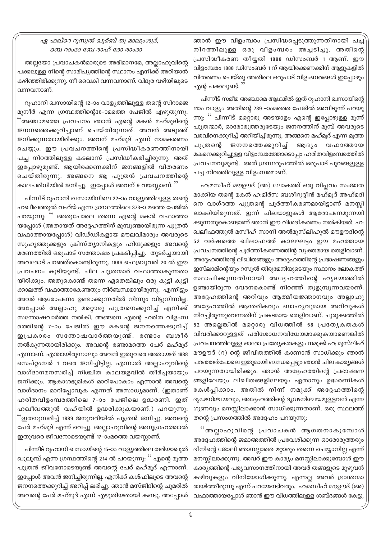## ഏ ഫഖ്റെ റുസുൽ ഖുർബ് തൂ മാലുംശുദ്, ബെ റാംദാ ബേ രാഹ് ദോ രാംദാ

അല്ലയോ പ്രവാചകൻമാരുടെ അഭിമാനമേ, അല്ലാഹുവിന്റെ പക്കലുള്ള നിന്റെ സാമിപൃത്തിന്റെ സ്ഥാനം എനിക്ക് അറിയാൻ കഴിഞ്ഞിരിക്കുന്നു. നീ വൈകി വന്നവനാണ്. വിദുര വഴിയിലുടെ വന്നവനാണ്.

റൂഹാനി ഖസായിന്റെ 12-ാം വാള്യത്തിലുള്ള തന്റെ സിറാജെ മുനീർ എന്ന ഗ്രന്ഥത്തിന്റെ36–ാമത്തെ പേജിൽ എഴുതുന്നു. 'അഞ്ചാമത്തെ പ്രവചനം ഞാൻ എന്റെ മകൻ മഹ്മൂദിന്റെ ജനനത്തെക്കുറിച്ചാണ് ചെയ്തിരുന്നത്. അവൻ അടുത്ത് ജനിക്കുന്നതായിരിക്കും. അവന് മഹ്മൂദ് എന്ന് നാമകരണം ചെയ്യും. ഈ പ്രവചനത്തിന്റെ പ്രസിദ്ധീകരണത്തിനായി പച്ച നിറത്തിലുള്ള കടലാസ് പ്രസിദ്ധീകരിച്ചിരുന്നു. അത് ഇപ്പോഴുമുണ്ട്. ആയിരക്കണക്കിന് ജനങ്ങളിൽ വിതരണം ചെയ്തിരുന്നു. അങ്ങനെ ആ പുത്രൻ പ്രവചനത്തിന്റെ കാലപരിധിയിൽ ജനിച്ചു. ഇപ്പോൾ അവന് 9 വയസ്സാണ്. ''

പിന്നീട് റൂഹാനി ഖസായിനിലെ 22–ാം വാള്യത്തിലുള്ള തന്റെ ഹഖീഖത്തുൽ വഹ്യ് എന്ന ഗ്രന്ഥത്തിലെ 373–ാ മത്തെ പേജിൽ പറയുന്നു: '' അതുപോലെ തന്നെ എന്റെ മകൻ വഫാത്താ യപ്പോൾ (അതായത് അദ്ദേഹത്തിന് മുമ്പുണ്ടായിരുന്ന പുത്രൻ വഫാത്തായപ്പോൾ) വിഢ്ഢികളായ മൗലവിമാരും അവരുടെ സുഹൃത്തുക്കളും ക്രിസ്ത്യാനികളും ഹിന്ദുക്കളും അവന്റെ മരണത്തിൽ ഒരുപാട് സന്തോഷം പ്രകടിപ്പിച്ചു. തുടർച്ചയായി അവരോട് പറഞ്ഞ്കൊണ്ടിരുന്നു. 1886 ഫെബ്രുവരി 20 ൽ ഈ പ്രവചനം കുടിയുണ്ട്. ചില പുത്രന്മാർ വഫാത്താകുന്നതാ യിരിക്കും. അതുകൊണ്ട് തന്നെ ഏതെങ്കിലും ഒരു കുട്ടി കുട്ടി ക്കാലത്ത് വഫാത്താകേണ്ടതും നിർബന്ധമായിരുന്നു. എന്നിട്ടും അവർ ആരോപണം ഉണ്ടാക്കുന്നതിൽ നിന്നും വിട്ടുനിന്നില്ല. അപ്പോൾ അല്ലാഹു മറ്റൊരു പുത്രനെക്കുറിച്ച് എനിക്ക് സന്തോഷവാർത്ത നൽകി. അങ്ങനെ എന്റെ ഹരിത വിളംമ്പ രത്തിന്റെ 7-ാം പേജിൽ ഈ മകന്റെ ജനനത്തെക്കുറിച്ച് ഇപ്രകാരം സന്തോഷവാർത്തയുണ്ട്. രണ്ടാം ബശീർ നൽകുന്നതായിരിക്കും. അവന്റെ രണ്ടാമത്തെ പേര് മഹ്മൂദ് എന്നാണ്. എന്തായിരുന്നാലും അവൻ ഇതുവരെ അതായത് 1888 സെപ്റ്റംമ്പർ 1 വരെ ജനിച്ചിട്ടില്ല. എന്നാൽ അല്ലാഹുവിന്റെ വാഗ്ദാനമനസരിച്ച് നിശ്ചിത കാലയളവിൽ തീർച്ചയായും ജനിക്കും. ആകാശഭൂമികൾ മാറിപോകാം എന്നാൽ അവന്റെ വാഗ്ദാനം മാറിപ്പോവുക എന്നത് അസാധ്യമാണ്. (ഇതാണ് ഹരിതവിളംമ്പരത്തിലെ 7-ാം പേജിലെ ഉദ്ധരണി. ഇത് ഹഖീഖത്തുൽ വഹ്യിൽ ഉദ്ധരിക്കുകയാണ്.) പറയുന്നു: .<br>'ഇതനുസരിച്ച് 1889 ജനുവരിയിൽ പുത്രൻ ജനിച്ചു. അവന്റെ പേര് മഹ്മൂദ് എന്ന് വെച്ചു. അല്ലാഹുവിന്റെ അനുഗ്രഹത്താൽ ഇതുവരെ ജീവനോടെയുണ്ട് 17–ാംമത്തെ വയസ്സാണ്.

പിന്നീട് റൂഹാനി ഖസായിന്റെ 15–ാം വാള്യത്തിലെ തരിയാഖുൽ ഖുലൂബ് എന്ന ഗ്രന്ഥത്തിന്റെ 214 ൽ പറയുന്നു: '' എന്റെ മൂത്ത പുത്രൻ ജീവനോടെയുണ്ട് അവന്റെ പേര് മഹ്മൂദ് എന്നാണ്. ഇപ്പോൾ അവൻ ജനിച്ചിരുന്നില്ല. എനിക്ക് കശ്ഫിലൂടെ അവന്റെ ജനനത്തെക്കുറിച്ച് അറിപ്പ് ലഭിച്ചു. ഞാൻ മസ്ജിദിന്റെ ചുമരിൽ അവന്റെ പേര് മഹ്മൂദ് എന്ന് എഴുതിയതായി കണ്ടു. അപ്പോൾ

ഞാൻ ഈ വിളംമ്പരം പ്രസിദ്ധപ്പെടുത്തുന്നതിനായി പച്ച നിറത്തിലുള്ള ഒരു വിളംമ്പരം അച്ചടിച്ചു. അതിന്റെ പ്രസിദ്ധീകരണ തീയ്യതി 1888 ഡിസംബർ 1 ആണ്. ഈ വിളംമ്പരം 1888 ഡിസംബർ 1 ന് ആയിരക്കണക്കിന് ആളുകളിൽ വിതരണം ചെയ്തു അതിലെ ഒരുപാട് വിളംബരങ്ങൾ ഇപ്പോഴും എന്റ പക്കലുണ്ട്.

പിന്നീട് സമീമ അഞ്ചാമെ ആഥമിൽ ഇത് റൂഹാനി ഖസായിന്റെ 1100 വാള്യം അതിന്റെ 289 –ാംമത്തെ പേജിൽ അവിടുന്ന് പറയു ന്നു: '' പിന്നീട് മറ്റൊരു അടയാളം എന്റെ ഇപ്പോഴുള്ള മൂന്ന് പുത്രന്മാർ, ഓരോരുത്തരുടേയും ജനനത്തിന് മുമ്പ് അവരുടെ വരവിനെക്കുറിച്ച് അറിയിച്ചിരുന്നു. അങ്ങനെ മഹ്മൂദ് എന്ന മൂത്ത പുത്രന്റെ ജനനത്തെക്കുറിച്ച് ആരൃം വഫാത്തായ മകനെക്കുറിച്ചുള്ള വിളംമ്പരത്തോടൊപ്പം ഹരിതവിളംമ്പരത്തിൽ പ്രവചനവുമുണ്ട്. അത് ഗ്രന്ഥരൂപത്തിൽ ഒരുപാട് പുറങ്ങളുള്ള പച്ച നിറത്തിലുള്ള വിളംമ്പരമാണ്.

ഹ:മസീഹ് മൗഊദ് (അ) ലോകത്ത് ഒരു വിപ്ലവം സംജാത മാക്കിയ തന്റെ മകൻ ഹ:മിർസ ബശീറുദ്ദീൻ മഹ്മൂദ് അഹ്മദി നെ വാഗ്ദത്ത പുത്രന്റെ പൂർത്തീകരണമായിട്ടാണ് മനസ്സി ലാക്കിയിരുന്നത്. ഇന്ന് ചിലയാളുകൾ ആരോപണമുന്നയി ക്കുന്നതുകൊണ്ടാണ് ഞാൻ ഈ വിശദീകരണം നൽകിയത്. ഹ: ഖലീഫത്തുൽ മസീഹ് സാനി അൽമുസ്ലിഹുൽ മൗഊദിന്റെ 52 വർഷത്തെ ഖിലാഫത്ത് കാലഘട്ടം ഈ മഹത്തായ പ്രവചനത്തിന്റെ പൂർത്തീകരണത്തിന്റ വ്യക്തമായ തെളിവാണ്. അദ്ദേഹത്തിന്റെ ലിഖിതങ്ങളും അദ്ദേഹത്തിന്റെ പ്രഭാഷണങ്ങളും ഇസ്ലാമിന്റെയും റസൂൽ തിരുമേനിയുടെയും സ്ഥാനം ലോകത്ത് സ്ഥാപിക്കുന്നതിനായി അദ്ദേഹത്തിന്റെ ഹൃദയത്തിൽ ഉണ്ടായിരുന്ന വേദനകൊണ്ട് നിറഞ്ഞ് തുളുമ്പുന്നവയാണ്. അദ്ദേഹത്തിന്റെ അറിവും ആത്മീയജ്ഞാനവും അല്ലാഹു അദ്ദേഹത്തിൽ ആന്തരികവും ബാഹ്യവുമായ അറിവുകൾ നിറച്ചിരുന്നുവെന്നതിന് പ്രകടമായ തെളിവാണ്. ചുരുക്കത്തിൽ 52 അല്ലെങ്കിൽ മറ്റൊരു വിധത്തിൽ 58 പ്രത്യേകതകൾ വിവരിക്കാറുള്ളത് പരിശോധനവിധേയമാക്കുകയാണെങ്കിൽ പ്രവചനത്തിലുള്ള ഓരോ പ്രത്യേകതകളും നമുക്ക് ഹ: മുസ്ലിഹ് മൗഉൗദ് (റ) ന്റെ ജീവിതത്തിൽ കാണാൻ സാധിക്കും ഞാൻ പറഞ്ഞത്പോലെ ഇതുമായി ബന്ധപ്പെട്ടും ഞാൻ ചില കാര്യങ്ങൾ പറയുന്നതായിരിക്കും. ഞാൻ അദ്ദേഹത്തിന്റെ പ്രഭാഷണ ങ്ങളിലേയും ലിഖിതങ്ങളിലേയും ഏതാനും ഉദ്ധരണികൾ കേൾപ്പിക്കാം. അതിൽ നിന്ന് നമുക്ക് അദ്ദേഹത്തിന്റെ ദൃഢനിശ്ചയവും, അദ്ദേഹത്തിന്റെ ദൃഢനിശ്ചയമുള്ളവൻ എന്ന ഗുണവും മനസ്സിലാക്കാൻ സാധിക്കുന്നതാണ്. ഒരു സ്ഥലത്ത് തന്റെ പ്രസംഗത്തിൽ അദ്ദേഹം പറയുന്നു:

് അല്ലാഹുവിന്റെ പ്രവാചകൻ ആഗതനാകുമ്പോൾ അദ്ദേഹത്തിന്റെ ജമാഅത്തിൽ പ്രവേശിക്കുന്ന ഓരോരുത്തരും ദീനിന്റെ ജോലി ഞാനല്ലാതെ മറ്റാരും തന്നെ ചെയ്യാനില്ല എന്ന് മനസ്സിലാക്കുന്നു. അവർ ഈ കാര്യം മനസ്സിലാക്കുമ്പോൾ ഈ കാര്യത്തിന്റെ പര്യവസാനത്തിനായി അവർ തങ്ങളുടെ മുഴുവൻ കഴിവുകളും വിനിയോഗിക്കുന്നു. എന്നല്ല അവർ ഭ്രാന്തന്മാ രായിത്തീരുന്നു എന്ന് പറയേണ്ടിവരും. ഹ:മസീഹ് മൗഊദ് (അ) വഫാത്തായപ്പോൾ ഞാൻ ഈ വിധത്തിലുള്ള ശബ്ദങ്ങൾ കേട്ടു.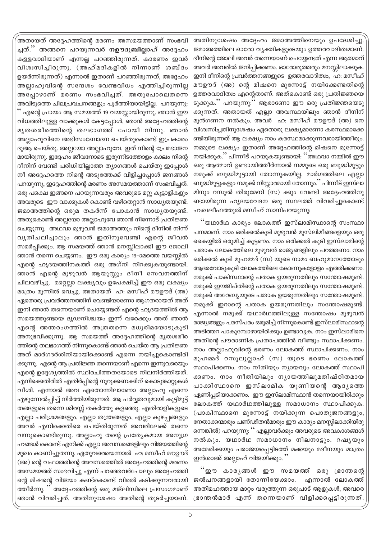അതിനുശേഷം അദ്ദേഹം ജമാഅത്തിനെയും ഉപദേശിച്ചു ജമാഅത്തിലെ ഓരോ വ്യക്തികളുടെയും ഉത്തരവാദിത്വമാണ്. ദീനിന്റെ ജോലി അവർ തന്നെയാണ് ചെയ്യേണ്ടത് എന്ന ആത്മാവ് അവർ അവരിൽ ജനിപ്പിക്കണം. ഓരോരുത്തരും മനസ്സിലാക്കുക. ഇനി ദീനിന്റെ പ്രവർത്തനങ്ങളുടെ ഉത്തരവാദിത്വം, ഹ: മസീഹ് മൗഊദ് (അ) ന്റെ മിഷനെ മുന്നോട്ട് നയിക്കേണ്ടതിന്റെ ഉത്തരവാദിത്വം എന്റെതാണ്. അത്കൊണ്ട് ഒരു പ്രതിജ്ഞയെ ടുക്കുക.'' പറയുന്നു:'' ആരാണോ ഈ ഒരു പ്രതിജ്ഞയെടു ക്കുന്നത്. അതായത് എല്ലാ അവസ്ഥയിലും ഞാൻ ദീനിന് മുൻഗണന നൽകും. അവർ ഹ: മസീഹ് മൗഊദ് (അ) നെ വിശ്വസിച്ചതിനുശേഷം ഏതൊരു ലക്ഷ്യമാണോ കരസ്ഥമാക്കേ ണ്ടിയിരുന്നത് ആ ലക്ഷ്യം നാം കരസ്ഥമാക്കുന്നവരായിത്തീരും. നമ്മുടെ ലക്ഷ്യം ഇതാണ് അദ്ദേഹത്തിന്റെ മിഷനെ മുന്നോട്ട് നയിക്കുക.'' പിന്നീട് പറയുകയുണ്ടായി: ''അഥവാ നമ്മിൽ ഈ ഒരു ആത്മാവ് ഉണ്ടായിത്തീർന്നാൽ നമ്മുടെ ഒരു ബുദ്ധിമുട്ടും നമുക്ക് ബുദ്ധിമുട്ടായി തോന്നുകയില്ല. മാർഗത്തിലെ എല്ലാ ബുദ്ധിമുട്ടുകളും നമുക്ക് നിസ്സാരമായി തോന്നും.'' പിന്നീട് ഇസ്ലാ മിനും റസൂൽ തിരുമേനി (സ) ക്കും വേണ്ടി അദ്ദേഹത്തിനു ണ്ടായിരുന്ന ഹൃദയവേദന ഒരു സ്ഥലത്ത് വിവരിച്ചുകൊണ്ട് ഹ:ഖലീഫത്തുൽ മസീഹ് സാനിപറയുന്നു:

''യഥാർഥ കാര്യം ലോകത്ത് ഇസ്ലാമിസ്ഥാന്റെ സംസ്ഥാ പനമാണ്. നാം ഒരിക്കൽകുടി മുഴുവൻ മുസ്ലിമീങ്ങളെയും ഒരു കൈയ്യിൽ ഒരുമിച്ച് കൂട്ടണം. നാം ഒരിക്കൽ കൂടി ഇസ്ലാമിന്റെ പതാക ലോകത്തിലെ മുഴുവൻ രാജ്യങ്ങളിലും പറത്തണം. നാം ഒരിക്കൽ കൂടി മുഹമ്മദ് (സ) യുടെ നാമം ബഹുമാനത്തോടും ആദരവോടുകൂടി ലോകത്തിലെ കോണുകളോളം എത്തിക്കണം. നമുക്ക് പാകിസ്ഥാന്റെ പതാക ഉയരുന്നതിലും സന്തോഷമുണ്ട്. നമുക്ക് ഈജിപ്തിന്റെ പതാക ഉയരുന്നതിലും സന്തോഷമുണ്ട്. നമുക്ക് അറേബ്യയുടെ പതാക ഉയരുന്നതിലും സന്തോഷമുണ്ട്. നമുക്ക് ഇറാന്റെ പതാക ഉയരുന്നതിലും സന്തോഷമുണ്ട്. എന്നാൽ നമുക്ക് യഥാർഥത്തിലുള്ള സന്തോഷം മുഴുവൻ രാജ്യങ്ങളും പരസ്പരം ഒരുമിച്ച് നിന്നുകൊണ്ട് ഇസ്ലാമിസ്ഥാന്റെ അടിത്തറ പാകുമ്പോഴായിരിക്കും ഉണ്ടാവുക. നാം ഇസ്ലാമിനെ അതിന്റെ പൗരാണിക പ്രതാപത്തിൽ വീണ്ടും സ്ഥാപിക്കണം. നാം അല്ലാഹുവിന്റെ ഭരണം ലോകത്ത് സ്ഥാപിക്കണം. നാം മുഹമ്മദ് റസൂലുല്ലാഹ് (സ) യുടെ ഭരണം ലോകത്ത് സ്ഥാപിക്കണം. നാം നീതിയും ന്യായവും ലോകത്ത് സ്ഥാപി ക്കണം. നാം നീതിയിലും നൃായത്തിലുമതിഷ്ഠിതമായ പാക്കിസ്ഥാനെ ഇസ്ലാമിക യൂണിയന്റെ ആദൃത്തെ ഏണിപ്പടിയാക്കണം. ഈ ഇസ്ലാമിസ്ഥാൻ തന്നെയായിരിക്കും ലോകത്ത് യഥാർഥത്തിലുള്ള സമാധാനം സ്ഥാപിക്കുക. (പാകിസ്ഥാനെ മുന്നോട്ട് നയിക്കുന്ന പൊതുജനങ്ങളും, നേതാക്കന്മാരും പണ്ഢിതൻമാരും ഈ കാര്യം മനസ്സിലാക്കിയിരു ന്നെങ്കിൽ) പറയുന്നു: '' എല്ലാവർക്കും അവരുടെ അവകാശങ്ങൾ നൽകും. യഥാർഥ സമാധാനം നിലനാട്ടും. റഷ്യയും അമേരിക്കയും പരാജയപ്പെട്ടിടത്ത് മക്കയും മദീനയും മാത്രം ഇൻശാഅ് അല്ലാഹ് വിജയിക്കും. ''

്ഈ കാരൃങ്ങൾ ഈ സമയത്ത് ഒരു ഭ്രാന്തന്റെ ജൽപനങ്ങളായി തോന്നിയേക്കാം. എന്നാൽ ലോകത്ത് അതിമഹത്തായ മാറ്റം വരുത്തുന്ന ഒരുപാട് ആളുകൾ, അവരെ ഭ്രാന്തൻമാർ എന്ന് തന്നെയാണ് വിളിക്കപ്പെട്ടിരുന്നത്

,<br>അതായത് അദ്ദേഹത്തിന്റെ മരണം അസമയത്താണ് സംഭവി ച്ചത്." അങ്ങനെ പറയുന്നവർ **നഊദുബില്ലാഹ്** അദ്ദേഹം കള്ളവാദിയാണ് എന്നല്ല പറഞ്ഞിരുന്നത്. കാരണം ഇവർ വിശ്വസിച്ചിരുന്നു. (അഹ്മദികളിൽ നിന്നാണ് ശബ്ദം ഉയർന്നിരുന്നത്) എന്നാൽ ഇതാണ് പറഞ്ഞിരുന്നത്, അദ്ദേഹം അല്ലാഹുവിന്റെ സന്ദേശം വേണ്ടവിധം എത്തിച്ചിരുന്നില്ല അപ്പോഴാണ് മരണം സംഭവിച്ചത്. അതുപോലെതന്നെ അവിടുത്തെ ചിലപ്രവചനങ്ങളും പൂർത്തിയായിട്ടില്ല. പറയുന്നു: '' എന്റെ പ്രായം ആ സമയത്ത് 19 വയസ്സായിരുന്നു. ഞാൻ ഈ വിധത്തിലുള്ള വാക്കുകൾ കേട്ടപ്പോൾ, ഞാൻ അദ്ദേഹത്തിന്റെ മൃതശരീരത്തിന്റെ തലഭാഗത്ത് പോയി നിന്നു. ഞാൻ അല്ലാഹുവിനെ അഭിസംബോദന ചെയ്തുകൊണ്ട് ഇപ്രകാരം ദുആ ചെയ്തു. അല്ലയോ അല്ലാഹുവേ. ഇത് നിന്റെ പ്രേമഭാജന മായിരുന്നു. ഇദ്ദേഹം ജീവനോടെ ഇരുന്നിടത്തോളം കാലം നിന്റെ ദീനിന് വേണ്ടി പരിധിയില്ലാത്ത ത്യാഗങ്ങൾ ചെയ്തു ഇപ്പോൾ നീ അദ്ദേഹത്തെ നിന്റെ അടുത്തേക്ക് വിളിച്ചപ്പോൾ ജനങ്ങൾ പറയുന്നു, ഇദ്ദേഹത്തിന്റെ മരണം അസമയത്താണ് സംഭവിച്ചത്. ഒരു പക്ഷെ ഇങ്ങനെ പറയുന്നവരും അവരുടെ മറ്റു കൂട്ടാളികളും അവരുടെ ഈ വാക്കുകൾ കൊണ്ട് വഴിതെറ്റാൻ സാധ്യതയുണ്ട്. ജമാഅത്തിന്റെ ഒരുമ തകർന്ന് പോകാൻ സാധ്യതയുണ്ട്. അതുകൊണ്ട് അല്ലയോ അല്ലാഹുവേ ഞാൻ നിന്നോട് പ്രതിജ്ഞ ചെയ്യുന്നു. അഥവാ മുഴുവൻ ജമാഅത്തും നിന്റെ ദീനിൽ നിന്ന് വൃതിചലിച്ചാലും ഞാൻ ഇതിനുവേണ്ടി എന്റെ ജീവൻ സമർപ്പിക്കും. ആ സമയത്ത് ഞാൻ മനസ്സിലാക്കി ഈ ജോലി ഞാൻ തന്നെ ചെയ്യണം. ഈ ഒരു കാര്യം 19–ാമത്തെ വയസ്സിൽ എന്റെ ഹൃദയത്തിനകത്ത് ഒരു അഗ്നി നിറക്കുകയുണ്ടായി. ഞാൻ എന്റെ മുഴുവൻ ആയുസ്സും ദീനീ സേവനത്തിന് ചിലവഴിച്ചു. മറ്റെല്ലാ ലക്ഷ്യവും ഉപേക്ഷിച്ച് ഈ ഒരു ലക്ഷ്യം മാത്രം മുന്നിൽ വെച്ചു. അതായത് ഹ: മസീഹ് മൗഊദ് (അ) ഏതൊരു പ്രവർത്തനത്തിന് വേണ്ടിയാണോ ആഗതരായത് അത് ഇനി ഞാൻ തന്നെയാണ് ചെയ്യേണ്ടത് എന്റെ ഹൃദയത്തിൽ ആ സമയത്തുണ്ടായ ദൃഢനിശ്ചയം ഇന്ന് വരേക്കും അത് ഞാൻ എന്റെ അന്തരംഗത്തിൽ അത്രതന്നെ മധുരിമയോടുകൂടി അനുഭവിക്കുന്നു. ആ സമയത്ത് അദ്ദേഹത്തിന്റെ മൃതശരീര ത്തിന്റെ തലഭാഗത്ത് നിന്നുകൊണ്ട് ഞാൻ ചെയ്ത ആ പ്രതിജ്ഞ അത് മാർഗദർശിനിയായിക്കൊണ്ട് എന്നെ നയിച്ചുകൊണ്ടിരി ക്കുന്നു. എന്റെ ആ പ്രതിജ്ഞ തന്നെയാണ് എന്നെ ഇന്നുവരെയും എന്റെ ഉദ്ദേശ്യത്തിൽ സ്ഥിരചിത്തതയോടെ നിലനിർത്തിയത്. എനിക്കെതിരിൽ എതിർപ്പിന്റെ നൂറുക്കണക്കിന് കൊടുങ്കാറ്റുകൾ വീശി. എന്നാൽ അവ ഏതൊന്നിലാണോ അല്ലാഹു എന്നെ എഴുന്നേൽപ്പിച്ച് നിർത്തിയിരുന്നത്. ആ പർവ്വതവുമായി കൂട്ടിമുട്ട് തങ്ങളുടെ തന്നെ ശിരസ്സ് തകർത്തു കളഞ്ഞു. എതിരാളികളുടെ എല്ലാ പരിശ്രമങ്ങളും, എല്ലാ തന്ത്രങ്ങളും, എല്ലാ കുഴപ്പങ്ങളും അവർ എനിക്കെതിരെ ചെയ്തിരുന്നത് അവരിലേക്ക് തന്നെ വന്നുകൊണ്ടിരുന്നു. അല്ലാഹു തന്റെ പ്രത്യേകമായ അനുഗ്ര ഹങ്ങൾ കൊണ്ട് എനിക്ക് എല്ലാ അവസരങ്ങളിലും വിജയത്തിന്റെ മുഖം കാണിച്ചുതന്നു. ഏതുവരെയെന്നാൽ ഹ: മസീഹ് മൗഊദ് (അ) ന്റെ വഫാത്തിന്റെ അവസരത്തിൽ അദ്ദേഹത്തിന്റെ മരണം അസമയത്ത് സംഭവിച്ചു എന്ന് പറഞ്ഞവർപോലും അദ്ദേഹത്തി ന്റെ മിഷന്റെ വിജയം കണ്ട്കൊണ്ട് വിരൽ കടിക്കുന്നവരായി ത്തീർന്നു. ,<br>തദ്ദേഹത്തിന്റെ ഒരു മജ്ലിസിലെ പ്രസംഗമാണ് ഞാൻ വിവരിച്ചത്. അതിനുശേഷം അതിന്റെ തുടർച്ചയാണ്.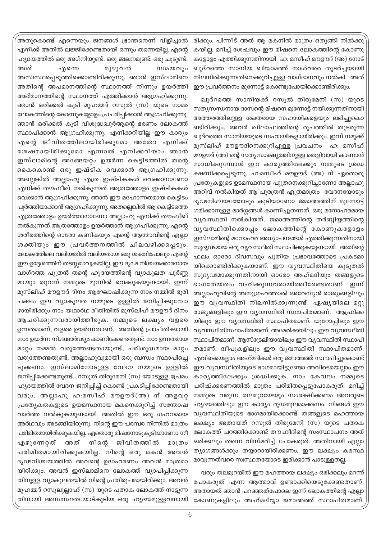രിക്കും. പിന്നീട് അത് ആ മകനിൽ മാത്രം ഒതുങ്ങി നിൽക്കു കയില്ല. മറിച്ച് ശേഷവും ഈ മിഷനെ ലോകത്തിന്റെ കോണു കളോളം എത്തിക്കുന്നതിനായി ഹ: മസീഹ് മൗഊദ് (അ) നോട് ഖുദ്റത്തെ സാനിയ ഖിയാമത്ത് നാൾവരെ തുടർചയായി നിലനിൽക്കുന്നതിനെക്കുറിച്ചുള്ള വാഗ്ദാനവും നൽകി. അത് ഈ പ്രവർത്തനം മുന്നോട്ട് കൊണ്ടുപോയിക്കൊണ്ടിരിക്കും.

ഖുദ്റത്തെ സാനിയക്ക് റസൂൽ തിരുമേനി (സ) യുടെ സത്യസന്ധനായ ദാസന്റെ മിഷനെ മുന്നോട്ട് നയിക്കുന്നതിനായി അത്തരത്തിലുള്ള ശക്തരായ സഹായികളെയും ലഭിച്ചുകൊ ണ്ടിരിക്കും. അവർ ഖിലാഫത്തിന്റെ രൂപത്തിൽ തുടരുന്ന ഖുദ്റത്തെ സാനിയയുടെ സഹായികളായിരിക്കും. ഇന്ന് നമുക്ക് മുസ്ലിഹ് മൗഊദിനെക്കുറിച്ചുള്ള പ്രവചനം ഹ: മസീഹ് മൗഊദ് (അ) ന്റെ സത്യസാക്ഷ്യത്തിനുള്ള തെളിവായി കാണാൻ സാധിക്കുമ്പോൾ ഈ കാരൃത്തിലേക്കും നമ്മുടെ ശ്രദ്ധ ക്ഷണിക്കപ്പെടുന്നു. ഹ:മസീഹ് മൗഊദ് (അ) ന് ഏതൊരു പ്രത്യേകളുടെ ഉടമസ്ഥനായ പുത്രനെക്കുറിച്ചാണോ അല്ലാഹു അറിവ് നൽകിയത് ആ പുരത്രൻ എത്രമാത്രം വേദനയോടും ദൃഢനിശ്ചയത്തോടും കൂടിയാണോ ജമാഅത്തിന് മുന്നോട്ട് ഗമിക്കാനുള്ള മാർഗ്ഗങ്ങൾ കാണിച്ചുതന്നത്. ഒരു മനോഹരമായ വ്യവസ്ഥതി നൽകിയത്. ജമാഅത്തിന്റെ തർബ്ബിയ്യത്തിന്റെ വൃവസ്ഥിതിക്കൊപ്പം ലോകത്തിന്റെ കോണുകളോളം ഇസ്ലാമിന്റെ മനോഹര അധ്യാപനങ്ങൾ എത്തിക്കുന്നതിനായി സുദൃഢമായ ഒരു വ്യവസ്ഥിതി സ്ഥാപിക്കുകയുണ്ടായി. അതിന്റെ ഫലം ഓരോ ദിവസവും പുതിയ പ്രഭാവത്തോടെ പ്രകടമാ യിക്കൊണ്ടിരിക്കുകയാണ്. ഈ വ്യവസ്ഥിതിയെ കുടുതൽ സുദൃഢമാക്കുന്നതിനായി ഓരോ അഹ്മദിയും തങ്ങളുടെ ഭാഗതേയത്വം വഹിക്കുന്നവരായിത്തീരേണ്ടതാണ്. ഇന്ന് അല്ലാഹുവിന്റെ അനുഗ്രഹത്താൽ അറേബ്യൻ രാജ്യങ്ങളിലും ഈ വ്യവസ്ഥിതി നിലനിൽക്കുന്നുണ്ട്. ഏഷ്യയിലെ മറ്റു രാജ്യങ്ങളിലും ഈ വ്യവസ്ഥിതി സ്ഥാപിതമാണ്. ആഫ്രിക്ക യിലും ഈ വ്യവസ്ഥിതി സ്ഥാപിതമാണ്. യൂറോപ്പിലും ഈ വ്യവസ്ഥിതിസ്ഥാപിതമാണ്. അമേരിക്കയിലും ഈ വ്യവസ്ഥിതി സ്ഥാപിതമാണ്. ആസ്ട്രേലിയായിലും ഈ വ്യവസ്ഥിതി സ്ഥാപി തമാണ്. ദ്വീപുകളിലും ഈ വ്യവസ്ഥിതി സ്ഥാപിതമാണ്. എവിടെയെല്ലാം അഹ്മദികൾ ഒരു ജമാഅത്ത് സ്ഥാപിച്ചുകൊണ്ട് ഈ വ്യവസ്ഥിതിയുടെ ഭാഗമായിട്ടുണ്ടോ അവിടെയെല്ലാം ഈ കാരൃത്തിലേക്കും ശ്രദ്ധിക്കുക. നാം കേവലം നമ്മുടെ പരിഷ്ക്കരണത്തിൽ മാത്രം പരിമിതപ്പെട്ടുപോകരുത്. മറിച്ച് നമ്മുടെ വരുന്ന തലമുറയേയും സംരക്ഷിക്കണം അവരുടെ ഹൃദയത്തിലും ഈ കാര്യം രൂഢമൂലമാക്കണം. നിങ്ങൾ ഈ വ്യവസ്ഥിതിയുടെ ഭാഗമായിക്കൊണ്ട് തങ്ങളുടെ മഹത്തായ ലക്ഷ്യം അതായത് റസൂൽ തിരുമേനി (സ) യുടെ പതാക ലോകത്ത് പറത്തിക്കൊണ്ട് തൗഹീദിന്റെ സംസ്ഥാപനം അത് ഒരിക്കലും തന്നെ വിസ്മരിച്ച് പോകരുത്. അതിനായി എല്ലാ ത്യാഗങ്ങൾക്കും തയ്യാറായിരിക്കണം. ഈ ലക്ഷ്യം കരസ്ഥ മാവുന്നത്വരെ സ്വസ്ഥതയോടെ ഇരിക്കാൻ പാടുള്ളതല്ല.

വരും തലമുറയിൽ ഈ മഹത്തായ ലക്ഷ്യം ഒരിക്കലും മറന്ന് പോകരുത് എന്ന ആത്മാവ് ഉണ്ടാക്കിയെടുക്കേണ്ടതാണ്. അതായത് ഞാൻ പറഞ്ഞത്പോലെ ഇന്ന് ലോകത്തിന്റെ എല്ലാ കോണുകളിലും അഹ്മദിയ്യാ ജമാഅത്ത് സ്ഥാപിതമാണ്

അതുകൊണ്ട് എന്നെയും ജനങ്ങൾ ഭ്രാന്തനെന്ന് വിളിച്ചാൽ എനിക്ക് അതിൽ ലജ്ജിക്കേണ്ടതായി ഒന്നും തന്നെയില്ല. എന്റെ ഹൃദയത്തിൽ ഒരു അഗ്നിയുണ്ട്. ഒരു ജ്വലനമുണ്ട്. ഒരു ചുടുണ്ട്. അത് എന്നെ മുഴുവൻ സമയവും അസ്വസ്ഥപ്പെടുത്തിക്കൊണ്ടിരിക്കുന്നു. ഞാൻ ഇസ്ലാമിനെ അതിന്റെ അപമാനത്തിന്റെ സ്ഥാനത്ത് നിന്നും ഉയർത്തി അഭിമാനത്തിന്റെ സ്ഥാനത്ത് എത്തിക്കാൻ ആഗ്രഹിക്കുന്നു. ഞാൻ ഒരിക്കൽ കുടി മുഹമ്മദ് റസുൽ (സ) യുടെ നാമം ലോകത്തിന്റെ കോണുകളോളം പ്രചരിപ്പിക്കാൻ ആഗ്രഹിക്കുന്നു. ഞാൻ ഒരിക്കൽ കുടി വിശുദ്ധഖുർആന്റെ ഭരണം ലോകത്ത് സ്ഥാപിക്കാൻ ആഗ്രഹിക്കുന്നു. എനിക്കറിയില്ല ഈ കാര്യം എന്റെ ജീവിതത്തിലായിരിക്കുമോ അതോ എനിക്ക് ശേഷമായിരിക്കുമോ എന്നാൽ എനിക്കറിയാം ഞാൻ ഇസ്ലാമിന്റെ അങ്ങേയറ്റം ഉയർന്ന കെട്ടിടത്തിൽ തന്റെ കൈകൊണ്ട് ഒരു ഇഷ്ടിക വെക്കാൻ ആഗ്രഹിക്കുന്നു. അല്ലെങ്കിൽ അല്ലാഹു എത്ര ഇഷ്ടികകൾ വെക്കാനാണോ എനിക്ക് തൗഫീഖ് നൽകുന്നത് അത്രത്തോളം ഇഷ്ടികകൾ വെക്കാൻ ആഗ്രഹിക്കുന്നു. ഞാൻ ഈ മഹോന്നതമായ കെട്ടിടം പൂർത്തിയാക്കാൻ ആഗ്രഹിക്കുന്നു. അതല്ലെങ്കിൽ ആ കെട്ടിടത്തെ എത്രത്തോളം ഉയർത്താനാണോ അല്ലാഹു എനിക്ക് തൗഫീഖ് നൽകുന്നത് അത്രത്തോളം ഉയർത്താൻ ആഗ്രഹിക്കുന്നു. എന്റെ ശരീരത്തിന്റെ ഓരോ കണികയും എന്റെ ആത്മാവിന്റെ എല്ലാ ശക്തിയും ഈ പ്രവർത്തനത്തിൽ ചിലവഴിക്കപ്പെടും. ലോകത്തിലെ വലിയതിൽ വലിയതായ ഒരു ശക്തിപോലും എന്റെ ഈ ഉദ്ദേശത്തിന് തടസ്സമാവുകയില്ല. ഈ ദൃഢ നിശ്ചയക്കാരനായ വാഗ്ദത്ത പുത്രൻ തന്റെ ഹൃദയത്തിന്റെ വ്യാകുലത പൂർണ്ണ മായും തുറന്ന് നമ്മുടെ മുന്നിൽ വെക്കുകയുണ്ടായി. ഇന്ന് മുസ്ലിഹ് മൗഊദ് ദിനം ആഘോഷിക്കുന്ന നാം നമ്മിൽ ഭുരി പക്ഷം ഈ വ്യാകുലത നമ്മുടെ ഉള്ളിൽ ജനിപ്പിക്കുമ്പോ ഴായിരിക്കും നാം യഥാർഥ രീതിയിൽ മുസ്ലിഹ് മൗഊദ് ദിനം ആചരിക്കുന്നവരായിത്തീരുക. നമ്മുടെ ലക്ഷ്യം വളരെ ഉന്നതമാണ്, വളരെ ഉയർന്നതാണ്. അതിന്റെ പ്രാപ്തിക്കായി നാം ഉയർന്ന നിശ്ചദാർഢ്യം കാണിക്കേണ്ടതുണ്ട്. നാം ഉന്നതമായ മാറ്റം നമ്മൽ വരുത്തേണ്ടതായുണ്ട്, പരിശുദ്ധമായ മാറ്റം വരുത്തേണ്ടതുണ്ട്. അല്ലാഹുവുമായി ഒരു ബന്ധം സ്ഥാപിച്ചെ ടുക്കണം. ഇസ്ലാമിനോടുള്ള വേദന നമ്മുടെ ഉള്ളിൽ ജനിപ്പിക്കേണ്ടതുണ്ട്. റസുൽ തിരുമേനി (സ) യോടുള്ള പ്രേമം ഹൃദയത്തിൽ വേദന ജനിപ്പിച്ച് കൊണ്ട് പ്രകടിപ്പിക്കേണ്ടതായി വരും. അല്ലാഹു ഹ:മസീഹ് മൗഊദ്(അ) ന് അളവറ്റ പ്രത്യേകതകളുടെ ഉയമസ്ഥനായ മകനെക്കുറിച്ച് സന്തോഷ വാർത്ത നൽകുകയുണ്ടായി. അതിൽ ഈ ഒരു ഗഹനമായ അർഥവും അടങ്ങിയിരുന്നു. നിന്റെ ഈ പരമ്പര നിന്നിൽ മാത്രം പരിമിതമായിരിക്കുകയില്ല. ഏതൊരു മിഷനോടുകുടിയാണോ നീ എഴുന്നേറ്റത് അത് നിന്റെ ജിവിതത്തിൽ മാത്രം പരിമിതമായിരിക്കുകയില്ല. നിന്റെ ഒരു മകൻ അവൻ ദൃഢനിശ്ചയത്തിൽ അവന്റെ ഉദാഹരണം അവൻ മാത്രമാ യിരിക്കും. അവൻ ഇസ്ലാമിനെ ലോകത്ത് വ്യാപിപ്പിക്കുന്ന തിനുള്ള വ്യാകുലതയിൽ നിന്റെ പ്രതിരൂപമായിരിക്കും. അവൻ മുഹമ്മദ് റസുലുല്ലാഹ് (സ) യുടെ പതാക ലോകത്ത് നാട്ടുന്ന തിനായി അസ്വസ്ഥതയോട്കൂടിയ ഒരു ഹൃദയമുള്ളവനായി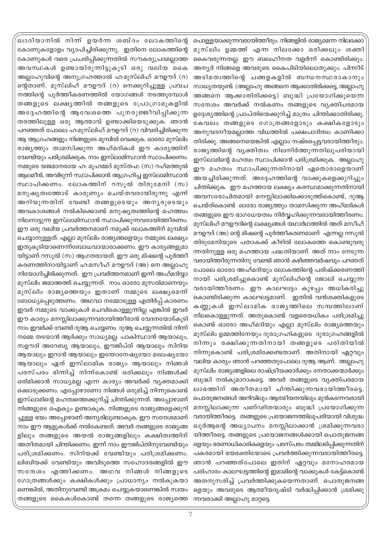പൊള്ളയാക്കുന്നവരായിത്തീരും. നിങ്ങളിൽ രാജ്യമെന്ന നിലക്കോ മുസ്ലിം ഉമ്മത്ത് എന്ന നിലക്കോ ഒരിക്കലും ശക്തി കൈവരുന്നതല്ല. ഈ ബലഹീനത വളർന്ന് കൊണ്ടിരിക്കും. അന്യർ നിങ്ങളെ അവരുടെ കൈപിടിയിലൊതുക്കും. പിന്നീട് അടിമത്വത്തിന്റെ ചങ്ങളകളിൽ ബന്ധനസ്ഥരാകാനും സാധ്യതയുണ്ട്. (അല്ലാഹു അങ്ങനെ ആക്കാതിരിക്കട്ടെ, അല്ലാഹു അങ്ങനെ ആക്കാതിരിക്കട്ടെ) ബുദ്ധി പ്രയോഗിക്കുയെന്ന സന്ദേശം അവർക്ക് നൽകണം തങ്ങളുടെ വ്യക്തിപരമായ ഉദ്ദേശ്യത്തിന്റെ പ്രാപ്തിയെക്കുറിച്ച് മാത്രം ചിന്തിക്കാതിരിക്കു. കേവലം തങ്ങളുടെ ഗോത്രങ്ങളോടും കക്ഷികളോടും അനുവദനീയമല്ലാത്ത വിധത്തിൽ പക്ഷപാദിത്വം കാണിക്കാ തിരിക്കൂ. അങ്ങനെയെങ്കിൽ എല്ലാം നഷ്ടപ്പെട്ടവരായിത്തീരും. രാജ്യത്തിന്റെ വ്യക്തിത്വം നിലനിർത്തുന്നതിലുപരിയായി ഇസ്ലാമിന്റെ മഹത്വം സ്ഥാപിക്കാൻ പരിശ്രമിക്കുക. അല്ലാഹു ഈ മഹത്വം സ്ഥാപിക്കുന്നതിനായി ഏതൊരാളെയാണ് അയച്ചിരിക്കുന്നത്. അദ്ദേഹത്തിന്റെ വാക്കുകളെക്കുറിച്ചും ചിന്തിക്കുക. ഈ മഹത്തായ ലക്ഷ്യം കരസ്ഥമാക്കുന്നതിനായി അവസരോചിതമായി മനസ്സിലാക്കിക്കൊടുത്ത്കൊണ്ട്, ദുആ ചെയ്ത്കൊണ്ട് ഓരോ രാജ്യത്തും താമസിക്കുന്ന അഹ്മദികൾ തങ്ങളുടെ ഈ ഭാഗധേയത്വം നിർവ്വഹിക്കുന്നവരായിത്തീരണം. മുസ്ലിഹ് മൗഊദിന്റെ ലക്ഷ്യങ്ങൾ യഥാർഥത്തിൽ അത് മസീഹ് മൗഊദ് (അ) ന്റെ മിഷന്റെ പൂർത്തീകരണമാണ് എന്നല്ല റസൂൽ തിരുമേനിയുടെ പതാകക്ക് കീഴിൽ ലോകത്തെ കൊണ്ടുവരു ന്നതിനുള്ള ഒരു മഹത്തായ പദ്ധതിയാണ്. അത് നാം നേടുന്ന വരായിത്തീരുന്നതിനു വേണ്ടി ഞാൻ കഴിഞ്ഞവർഷവും പറഞത് പോലെ ഓരോ അഹ്മദിയും ലോകത്തിന്റെ പരിഷ്ക്കരണത്തി നായി പരിശ്രമിച്ചുകൊണ്ട് മുസ്ലിഹ്ന്റെ ജോലി ചെയ്യുന്ന വരായിത്തീരണം. ഈ കാലഘട്ടം കുഴപ്പം അധികരിച്ചു കൊണ്ടിരിക്കുന്ന കാലഘട്ടമാണ്. ഇതിൽ വൻശക്തികളുടെ കണ്ണുകൾ ഇസ്ലാമിക രാജൃത്തിലെ സമ്പത്തിലാണ് നിലകൊള്ളുന്നത്. അതുകൊണ്ട് വളരെയധികം പരിശ്രമിച്ചു കൊണ്ട് ഓരോ അഹ്മദിയും എല്ലാ മുസ്ലിം രാജ്യത്തെയും മുസ്ലിം ഉമ്മത്തിനേയും ദുരാഗ്രഹികളുടെ ദുരാഗ്രഹങ്ങളിൽ നിന്നും രക്ഷിക്കുന്നതിനായി തങ്ങളുടെ പരിതിയിൽ നിന്നുകൊണ്ട് പരിശ്രമിക്കേണ്ടതാണ്. അതിനായി ഏറ്റവും വലിയ കാര്യം ഞാൻ പറഞ്ഞതുപോലെ ദുആ ആണ്. അല്ലാഹു മുസ്ലിം രാജ്യങ്ങളിലെ രാഷ്ട്രീയക്കാർക്കും നേതാക്കന്മാർക്കും ബുദ്ധി നൽകുമാറാകട്ടെ. അവർ തങ്ങളുടെ വ്യക്തിപരമായ ലാഭത്തിന് അതീതമായി ചിന്തിക്കുന്നവരായിത്തീരട്ടെ. പൊതുജനങ്ങൾ അറിവിലും ആത്മീയതയിലും മുൻകടന്നവരായി മനസ്സിലാക്കുന്ന പണ്ഢിതന്മാരും ബുദ്ധി പ്രയോഗിക്കുന്ന വരായിത്തീരട്ടെ. തങ്ങളുടെ പ്രയോജനത്തിലുപരിയായി വിശുദ്ധ ഖുർആന്റെ അധ്യാപനം മനസ്സിലാക്കാൻ ശ്രമിക്കുന്നവരാ യിത്തീരട്ടെ. തങ്ങളുടെ പ്രയോജനങ്ങൾക്കായി പൊതുജനങ്ങ ളെയും ഭരണാധികാരികളെയും പരസ്പരം തമ്മിലടിപ്പിക്കുന്നതിന് പകരമായി ഭയഭക്തിയോടെ പ്രവർത്തിക്കുന്നവരായിത്തീരട്ടെ. ഞാൻ പറഞ്ഞത്പോലെ ഇതിന് ഏറ്റവും മനോഹരമായ പരിഹാരം കാലഘട്ടത്തിന്റെ ഇമാമിന്റെ വാക്കുകൾ കേട്ട്കൊണ്ട് അതനുസരിച്ച് പ്രവർത്തിക്കുകയെന്നതാണ്. പൊതുജനങ്ങ ളെയും അവരുടെ ആത്മീയദൃഷ്ടി വർദ്ധിപ്പിക്കാൻ ശ്രമിക്കു ന്നവരാക്കി അല്ലാഹു മാറ്റട്ടെ.

ഖാദിയാനിൽ നിന്ന ഉയർന്ന ശബ്ദം ലോകത്തിന്റെ കോണുകളോളം വ്യാപിച്ചിരിക്കുന്നു. ഇതിനെ ലോകത്തിന്റെ കോണുകൾ വരെ പ്രചരിപ്പിക്കുന്നതിൽ സൗകര്യപ്രദമല്ലാത്ത അവസ്ഥകൾ ഉണ്ടായിരുന്നിട്ടുകൂടി ഒരു വലിയ കൈ അല്ലാഹുവിന്റെ അനുഗ്രഹത്താൽ ഹ:മൂസ്ലിഹ് മൗഊദ് (റ) ന്റെതാണ്. മുസ്ലിഹ് മൗഊദ് (റ) നെക്കുറിച്ചുള്ള പ്രവച നത്തിന്റെ പൂർത്തീകരണത്തിൽ യോഗങ്ങൾ നടത്തുമ്പോൾ തങ്ങളുടെ ലക്ഷ്യത്തിൽ തങ്ങളുടെ പ്രോഗ്രാമുകളിൽ അദ്ദേഹത്തിന്റെ ആവേശത്തെ പുനരുജ്ജീവിപ്പിക്കുന്ന തരത്തിലുള്ള ഒരു ആത്മാവ് ഉണ്ടാക്കിയെടുക്കുക. ഞാൻ പറഞ്ഞത് പോലെ ഹ:മുസ്ലിഹ് മൗഊദ് (റ) വിവരിച്ചിരിക്കുന്ന ആ ആഗ്രഹങ്ങളും നിങ്ങളുടെ മുമ്പിൽ വെക്കുക. ഓരോ മുസ്ലിം രാജ്യത്തും താമസിക്കുന്ന അഹ്മദികൾ ഈ കാര്യത്തിന് വേണ്ടിയും പരിശ്രമിക്കുക. നാം ഇസ്ലാമിസ്ഥാൻ സ്ഥാപിക്കണം. നമ്മുടെ യജമാനരായ ഹ: മുഹമ്മദ് മുസ്തഫ (സ) റഹ്മത്തുൽ ആലമീൻ, അവിടുന്ന് സ്ഥാപിക്കാൻ ആഗ്രഹിച്ച ഇസ്ലാമിസ്ഥാൻ സ്ഥാപിക്കണം. ലോകത്തിന് റസൂൽ തിരുമേനി (സ) മനുഷ്യത്വത്തോട് കാരുണ്യം ചെയ്തവരായിരുന്നു എന്ന് അറിയുന്നതിന് വേണ്ടി തങ്ങളുടെയും അന്യരുടെയും അവകാശങ്ങൾ നൽകിക്കൊണ്ട് മനുഷ്യത്വത്തിന്റെ മഹത്ത്വം നിലനാട്ടുന്ന ഇസ്ലാമിസ്ഥാൻ സ്ഥാപിക്കുന്നവരായിത്തീരണം. ഈ ഒരു വലിയ പ്രവർത്തനമാണ് നമുക്ക് ലോകത്തിന് മുമ്പിൽ ചെയ്യാനുള്ളത്. എല്ലാ മുസ്ലിം രാജ്യങ്ങളെയും നമ്മുടെ ലക്ഷ്യം ഇതുകൂടിയാണെന്ന്ബോധവാന്മാരാക്കണം. ഈ കാര്യങ്ങളുമാ യിട്ടാണ് റസൂൽ (സ) ആഗതരായത്. ഈ ഒരു മിഷന്റെ പൂർത്തീ കരണത്തിനായിട്ടാണ് ഹ:മസീഹ് മൗഊദ് (അ) നെ അല്ലാഹു നിയോഗിച്ചിരിക്കുന്നത്. ഈ പ്രവർത്തനമാണ് ഇന്ന് അഹ്മദിയ്യാ മുസ്ലിം ജമാഅത്ത് ചെയ്യുന്നത്. നാം ഓരോ മുസൽമാനെയും മുസ്ലിം രാജൃത്തെയും ഇതാണ് നമ്മുടെ ലക്ഷൃമെന്ന് ബോധ്യപ്പെടുത്തണം. അഥവാ നമ്മോടുള്ള എതിർപ്പ് കാരണം ഇവർ നമ്മുടെ വാക്കുകൾ ചെവികൊള്ളുന്നില്ല എങ്കിൽ ഇവർ ഈ കാര്യം മനസ്സിലാക്കുന്നവരായിത്തീരാൻ വേദനയോട്കൂടി നാം ഇവർക്ക് വേണ്ടി ദുആ ചെയ്യണം. ദുആ ചെയ്യുന്നതിൽ നിന്ന് നമ്മെ തടയാൻ ആർക്കും സാധ്യമല്ല. പാകിസ്ഥാൻ ആയാലും, സഊദി അറേബ്യ ആയാലും, ഈജിപ്ത് ആയാലും സിറിയ ആയാലും ഇറാൻ ആയാലും ഇന്തോനേഷ്യയോ മലേഷ്യയോ ആയാലും ഏത് ഇസ്ലാമിക രാജ്യം ആയാലും നിങ്ങൾ പരസ്പരം ഭിന്നിച്ച് നിന്ന്കൊണ്ട് ഒരിക്കലും നിങ്ങൾക്ക് ഒരിമിക്കാൻ സാധ്യമല്ല എന്ന കാര്യം അവർക്ക് വ്യക്തമാക്കി ക്കൊടുക്കണം. എപ്പോഴാണോ നിങ്ങൾ ഒരുമിച്ച് നിന്നുകൊണ്ട് ഇസ്ലാമിന്റെ മഹത്വത്തെക്കുറിച്ച് ചിന്തിക്കുന്നത്. അപ്പോഴാണ് നിങ്ങളുടെ ഐക്യം ഉണ്ടാകുക. നിങ്ങളുടെ രാജ്യങ്ങളെക്കുറി ച്ചുള്ള ഭയം അപ്പോഴാണ് അന്യരിലുണ്ടാകുക. ഈ സന്ദേശമാണ് നാം ഈ ആളുകൾക്ക് നൽകേണ്ടത്. അവർ തങ്ങളുടെ രാജ്യങ്ങ ളിലും തങ്ങളുടെ അയൽ രാജ്യങ്ങളിലും കക്ഷിത്വത്തിന് അതീതമായി ചിന്തിക്കണം. ഇന്ന് നാം ഈജിപ്തിനുവേണ്ടിയും പരിശ്രമിക്കണം. സിറിയക്ക് വേണ്ടിയും പരിശ്രമിക്കണം. ലിബിയക്ക് വേണ്ടിയും അവിടുത്തെ സഹോദരങ്ങളിൽ ഈ സന്ദേശം എത്തിക്കണം. അഥവ നിങ്ങൾ നിങ്ങളുടെ ഗോത്രങ്ങൾക്കും കക്ഷികൾക്കും പ്രാധാന്യം നൽകുകയാ ണെങ്കിൽ, അതിനുവേണ്ടി അക്രമം ചെയ്യുകയാണെങ്കിൽ സ്വയം തങ്ങളുടെ കൈകൾകൊണ്ട് തന്നെ തങ്ങളുടെ രാജ്യത്തെ